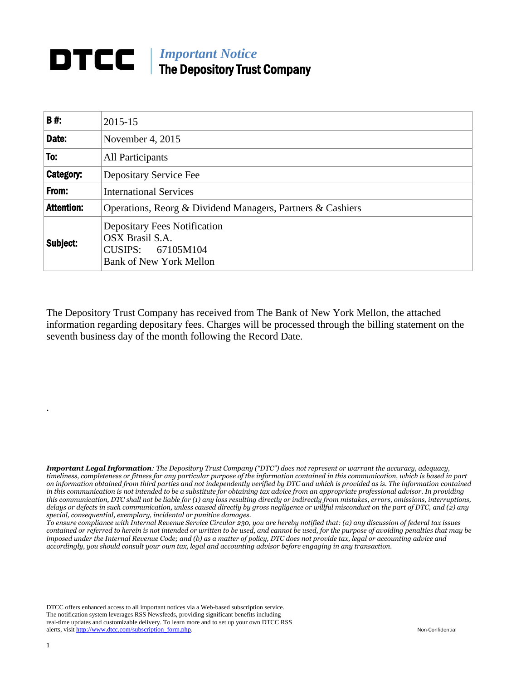## *Important Notice* The Depository Trust Company

| <b>B#:</b>        | 2015-15                                                                                                       |
|-------------------|---------------------------------------------------------------------------------------------------------------|
| Date:             | November 4, 2015                                                                                              |
| To:               | All Participants                                                                                              |
| Category:         | Depositary Service Fee                                                                                        |
| From:             | <b>International Services</b>                                                                                 |
| <b>Attention:</b> | Operations, Reorg & Dividend Managers, Partners & Cashiers                                                    |
| Subject:          | <b>Depositary Fees Notification</b><br>OSX Brasil S.A.<br>CUSIPS: 67105M104<br><b>Bank of New York Mellon</b> |

The Depository Trust Company has received from The Bank of New York Mellon, the attached information regarding depositary fees. Charges will be processed through the billing statement on the seventh business day of the month following the Record Date.

*Important Legal Information: The Depository Trust Company ("DTC") does not represent or warrant the accuracy, adequacy, timeliness, completeness or fitness for any particular purpose of the information contained in this communication, which is based in part on information obtained from third parties and not independently verified by DTC and which is provided as is. The information contained in this communication is not intended to be a substitute for obtaining tax advice from an appropriate professional advisor. In providing this communication, DTC shall not be liable for (1) any loss resulting directly or indirectly from mistakes, errors, omissions, interruptions, delays or defects in such communication, unless caused directly by gross negligence or willful misconduct on the part of DTC, and (2) any special, consequential, exemplary, incidental or punitive damages.*

*To ensure compliance with Internal Revenue Service Circular 230, you are hereby notified that: (a) any discussion of federal tax issues contained or referred to herein is not intended or written to be used, and cannot be used, for the purpose of avoiding penalties that may be imposed under the Internal Revenue Code; and (b) as a matter of policy, DTC does not provide tax, legal or accounting advice and accordingly, you should consult your own tax, legal and accounting advisor before engaging in any transaction.*

DTCC offers enhanced access to all important notices via a Web-based subscription service. The notification system leverages RSS Newsfeeds, providing significant benefits including real-time updates and customizable delivery. To learn more and to set up your own DTCC RSS alerts, visit [http://www.dtcc.com/subscription\\_form.php.](http://www.dtcc.com/subscription_form.php) Non-Confidential

.